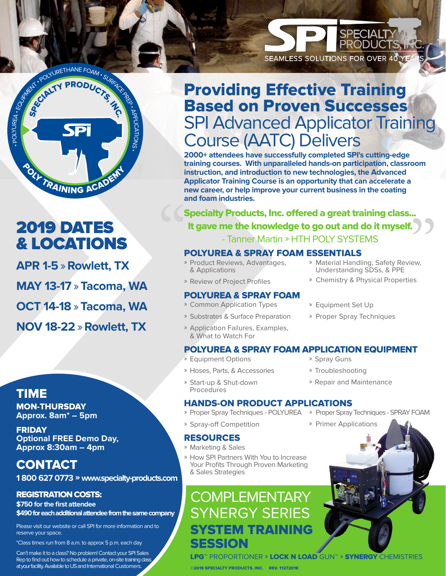

## 2019 DATES & LOCATIONS

**APR 1-5** » **Rowlett, TX MAY 13-17** » **Tacoma, WA OCT 14-18** » **Tacoma, WA NOV 18-22** » **Rowlett, TX**

### TIME

MON-THURSDAY **Approx. 8am\* – 5pm** 

FRIDAY **Optional FREE Demo Day, Approx 8:30am – 4pm**

### **CONTACT**

**1 800 627 0773** » **www.specialty-products.com**

#### REGISTRATION COSTS:

**\$750 for the first attendee \$490 for each additional attendee from the same company**

Please visit our website or call SPI for more information and to reserve your space.

\*Class times run from 8 a.m. to approx 5 p.m. each day

Can't make it to a class? No problem! Contact your SPI Sales Rep to find out how to schedule a private, on-site training dass at your facility. Available to US and International Customers.

# Providing Effective Training Based on Proven Successes SPI Advanced Applicator Training Course (AATC) Delivers

**2000+ attendees have successfully completed SPI's cutting-edge training courses. With unparalleled hands-on participation, classroom instruction, and introduction to new technologies, the Advanced Applicator Training Course is an opportunity that can accelerate a new career, or help improve your current business in the coating and foam industries.**

Specialty Products, Inc. offered a great training class...<br>
It gave me the knowledge to go out and do it myself.<br>
- Tanner Martin » HTH POLY SYSTEMS<br>
POLYUREA & SPRAY FOAM ESSENTIALS<br>
» Product Reviews, Advantages, « Mater Specialty Products, Inc. offered a great training class... It gave me the knowledge to go out and do it myself. - Tanner Martin » HTH POLY SYSTEMS

#### POLYUREA & SPRAY FOAM ESSENTIALS

- » Product Reviews, Advantages, & Applications
- » Material Handling, Safety Review, Understanding SDSs, & PPE

**SPECIALT** 

SEAMLESS SOLUTIONS FOR OVER 40 YE

- » Chemistry & Physical Properties
- » Review of Project Profiles POLYUREA & SPRAY FOAM

#### » Common Application Types

- » Substrates & Surface Preparation
- » Application Failures, Examples, & What to Watch For
- POLYUREA & SPRAY FOAM APPLICATION EQUIPMENT
- » Equipment Options
- » Hoses, Parts, & Accessories
- » Start-up & Shut-down
	- Procedures

#### HANDS-ON PRODUCT APPLICATIONS

- » Proper Spray Techniques POLYUREA
- » Spray-off Competition

#### RESOURCES

- » Marketing & Sales
- » How SPI Partners With You to Increase Your Profits Through Proven Marketing & Sales Strategies

## **COMPLEMENTARY** SYNERGY SERIES SYSTEM TRAINING SESSION

» Proper Spray Techniques

» Equipment Set Up

- » Spray Guns
- » Troubleshooting
- » Repair and Maintenance
- » Proper Spray Techniques SPRAY FOAM
- » Primer Applications

LPG™ PROPORTIONER » LOCK N LOAD GUN™ » SYNERGY CHEMISTRIES